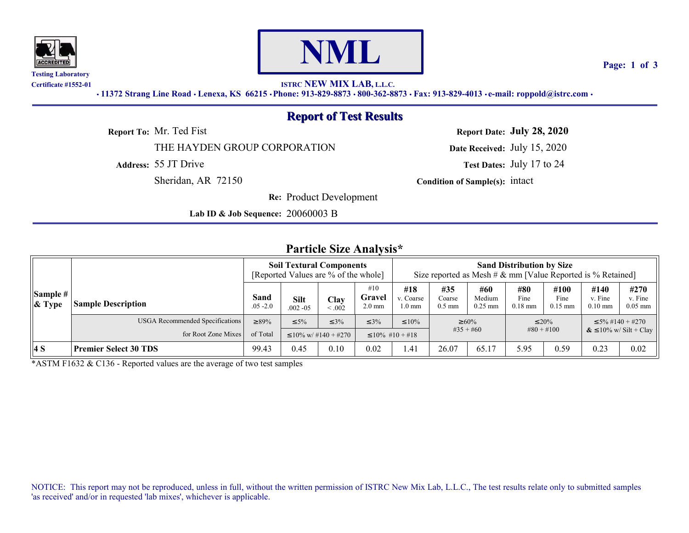



**Page: 1 of 3**

**Certificate #1552-01 ISTRC NEW MIX LAB, L.L.C.**

*•* **11372 Strang Line Road** *•* **Lenexa, KS 66215** *•* **Phone: 913-829-8873** *•* **800-362-8873** *•* **Fax: 913-829-4013** *•* **e-mail: roppold@istrc.com** *•*

## **Report of Test Results**

THE HAYDEN GROUP CORPORATION **Date Received:** July 15, 2020

**Re:** Product Development

**Lab ID & Job Sequence:** 20060003 B

**Report To:** Mr. Ted Fist **Report Date: July 28, 2020**

**Address:** 55 JT Drive **Test Dates:** July 17 to 24

Sheridan, AR 72150 **Condition of Sample(s):** intact

#### **Particle Size Analysis\***

|                          |                                        | <b>Soil Textural Components</b><br>[Reported Values are % of the whole] |                            |                |                                   | <b>Sand Distribution by Size</b><br>Size reported as Mesh # $\&$ mm [Value Reported is % Retained] |                           |                            |                          |                           |                                      |                              |  |
|--------------------------|----------------------------------------|-------------------------------------------------------------------------|----------------------------|----------------|-----------------------------------|----------------------------------------------------------------------------------------------------|---------------------------|----------------------------|--------------------------|---------------------------|--------------------------------------|------------------------------|--|
| Sample #<br>$\  \&$ Type | <b>Sample Description</b>              | Sand<br>$.05 - 2.0$                                                     | <b>Silt</b><br>$.002 - 05$ | Clay<br>&0.002 | #10<br>Gravel<br>$2.0 \text{ mm}$ | #18<br>v. Coarse<br>$1.0 \text{ mm}$                                                               | #35<br>Coarse<br>$0.5$ mm | #60<br>Medium<br>$0.25$ mm | #80<br>Fine<br>$0.18$ mm | #100<br>Fine<br>$0.15$ mm | #140<br>v. Fine<br>$0.10 \text{ mm}$ | #270<br>v. Fine<br>$0.05$ mm |  |
|                          | <b>USGA</b> Recommended Specifications | $\geq 89\%$                                                             | $\leq 5\%$                 | $\leq 3\%$     | $\leq 3\%$                        | $\leq 10\%$                                                                                        | $\geq 60\%$               |                            | $\leq 20\%$              |                           |                                      | $\leq 5\% \#140 + \#270$     |  |
|                          | for Root Zone Mixes                    | of Total                                                                | $\leq 10\%$ w/ #140 + #270 |                |                                   | $\#35 + \#60$<br>$\leq 10\%$ #10 + #18                                                             |                           |                            | $\#80 + \#100$           |                           | $\&$ $\leq$ 10% w/ Silt + Clay       |                              |  |
| 4 S                      | <b>Premier Select 30 TDS</b>           | 99.43                                                                   | 0.45                       | 0.10           | 0.02                              | .41                                                                                                | 26.07                     | 65.17                      | 5.95                     | 0.59                      | 0.23                                 | 0.02                         |  |

\*ASTM F1632 & C136 - Reported values are the average of two test samples

NOTICE: This report may not be reproduced, unless in full, without the written permission of ISTRC New Mix Lab, L.L.C., The test results relate only to submitted samples 'as received' and/or in requested 'lab mixes', whichever is applicable.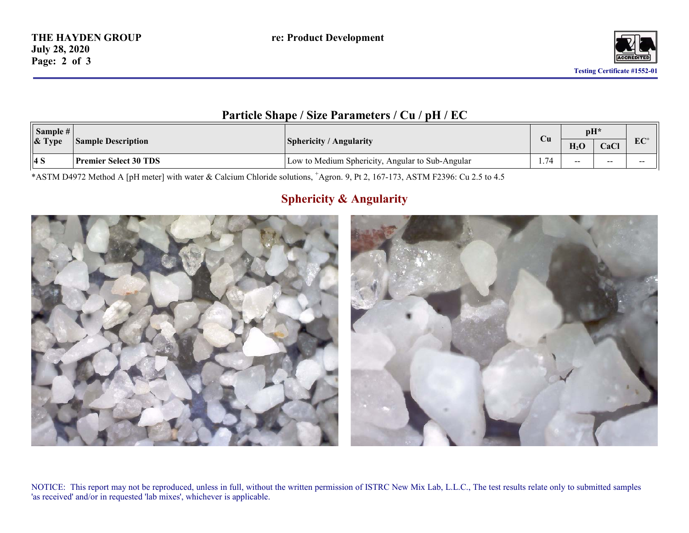

## **Particle Shape / Size Parameters / Cu / pH / EC**

| Sample #<br>$\&$ Type | <b>Sample Description</b> | ' Angularity<br><b>Sphericity</b> /                 |      | $\mathbf{p}$<br>$\mathbf{r}$<br>$\mathbf{H}_2\mathbf{U}$ | CaCl  | $EC^+$ |
|-----------------------|---------------------------|-----------------------------------------------------|------|----------------------------------------------------------|-------|--------|
| 4 S                   | Premier Select 30 TDS     | Low to Medium Sphericity,<br>Angular to Sub-Angular | 1.74 | $- -$                                                    | $- -$ | $- -$  |

\*ASTM D4972 Method A [pH meter] with water & Calcium Chloride solutions, <sup>+</sup>Agron. 9, Pt 2, 167-173, ASTM F2396: Cu 2.5 to 4.5

# **Sphericity & Angularity**



NOTICE: This report may not be reproduced, unless in full, without the written permission of ISTRC New Mix Lab, L.L.C., The test results relate only to submitted samples 'as received' and/or in requested 'lab mixes', whichever is applicable.